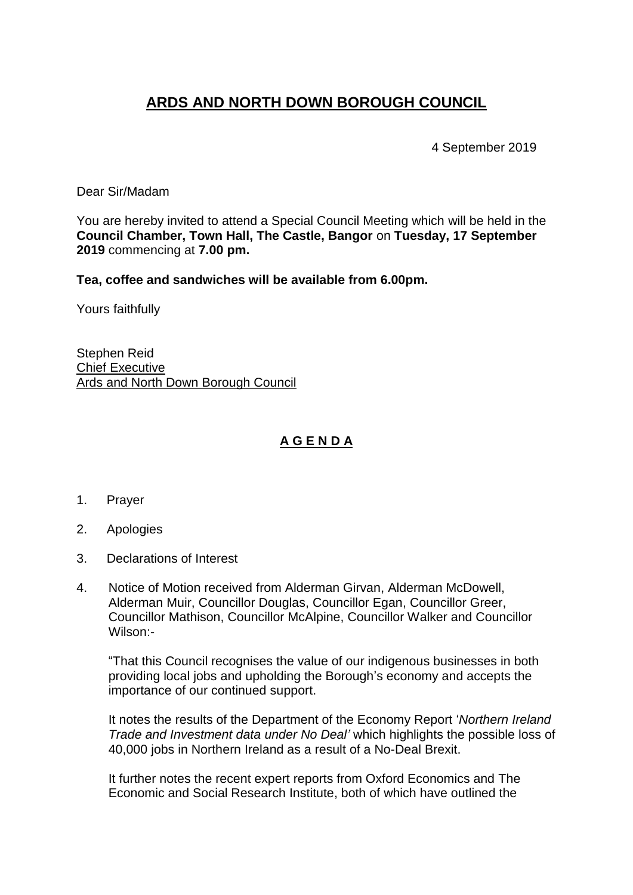## **ARDS AND NORTH DOWN BOROUGH COUNCIL**

4 September 2019

Dear Sir/Madam

You are hereby invited to attend a Special Council Meeting which will be held in the **Council Chamber, Town Hall, The Castle, Bangor** on **Tuesday, 17 September 2019** commencing at **7.00 pm.** 

**Tea, coffee and sandwiches will be available from 6.00pm.**

Yours faithfully

Stephen Reid Chief Executive Ards and North Down Borough Council

## **A G E N D A**

- 1. Prayer
- 2. Apologies
- 3. Declarations of Interest
- 4. Notice of Motion received from Alderman Girvan, Alderman McDowell, Alderman Muir, Councillor Douglas, Councillor Egan, Councillor Greer, Councillor Mathison, Councillor McAlpine, Councillor Walker and Councillor Wilson:-

"That this Council recognises the value of our indigenous businesses in both providing local jobs and upholding the Borough's economy and accepts the importance of our continued support.

It notes the results of the Department of the Economy Report '*Northern Ireland Trade and Investment data under No Deal'* which highlights the possible loss of 40,000 jobs in Northern Ireland as a result of a No-Deal Brexit.

It further notes the recent expert reports from Oxford Economics and The Economic and Social Research Institute, both of which have outlined the